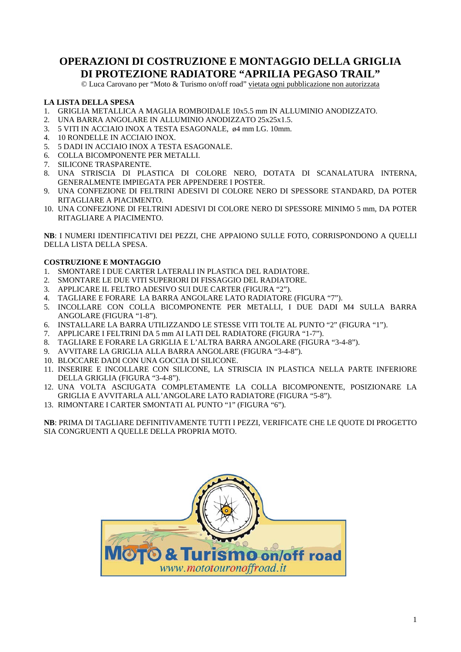## **OPERAZIONI DI COSTRUZIONE E MONTAGGIO DELLA GRIGLIA DI PROTEZIONE RADIATORE "APRILIA PEGASO TRAIL"**

© Luca Carovano per "Moto & Turismo on/off road" vietata ogni pubblicazione non autorizzata

#### **LA LISTA DELLA SPESA**

- 1. GRIGLIA METALLICA A MAGLIA ROMBOIDALE 10x5.5 mm IN ALLUMINIO ANODIZZATO.
- 2. UNA BARRA ANGOLARE IN ALLUMINIO ANODIZZATO 25x25x1.5.
- 3. 5 VITI IN ACCIAIO INOX A TESTA ESAGONALE, ø4 mm LG. 10mm.
- 4. 10 RONDELLE IN ACCIAIO INOX.
- 5. 5 DADI IN ACCIAIO INOX A TESTA ESAGONALE.
- 6. COLLA BICOMPONENTE PER METALLI.
- 7. SILICONE TRASPARENTE.
- 8. UNA STRISCIA DI PLASTICA DI COLORE NERO, DOTATA DI SCANALATURA INTERNA, GENERALMENTE IMPIEGATA PER APPENDERE I POSTER.
- 9. UNA CONFEZIONE DI FELTRINI ADESIVI DI COLORE NERO DI SPESSORE STANDARD, DA POTER RITAGLIARE A PIACIMENTO.
- 10. UNA CONFEZIONE DI FELTRINI ADESIVI DI COLORE NERO DI SPESSORE MINIMO 5 mm, DA POTER RITAGLIARE A PIACIMENTO.

**NB**: I NUMERI IDENTIFICATIVI DEI PEZZI, CHE APPAIONO SULLE FOTO, CORRISPONDONO A QUELLI DELLA LISTA DELLA SPESA.

#### **COSTRUZIONE E MONTAGGIO**

- 1. SMONTARE I DUE CARTER LATERALI IN PLASTICA DEL RADIATORE.
- 2. SMONTARE LE DUE VITI SUPERIORI DI FISSAGGIO DEL RADIATORE.
- 3. APPLICARE IL FELTRO ADESIVO SUI DUE CARTER (FIGURA "2").
- 4. TAGLIARE E FORARE LA BARRA ANGOLARE LATO RADIATORE (FIGURA "7").
- 5. INCOLLARE CON COLLA BICOMPONENTE PER METALLI, I DUE DADI M4 SULLA BARRA ANGOLARE (FIGURA "1-8").
- 6. INSTALLARE LA BARRA UTILIZZANDO LE STESSE VITI TOLTE AL PUNTO "2" (FIGURA "1").
- 7. APPLICARE I FELTRINI DA 5 mm AI LATI DEL RADIATORE (FIGURA "1-7").
- 8. TAGLIARE E FORARE LA GRIGLIA E L'ALTRA BARRA ANGOLARE (FIGURA "3-4-8").
- 9. AVVITARE LA GRIGLIA ALLA BARRA ANGOLARE (FIGURA "3-4-8").
- 10. BLOCCARE DADI CON UNA GOCCIA DI SILICONE.
- 11. INSERIRE E INCOLLARE CON SILICONE, LA STRISCIA IN PLASTICA NELLA PARTE INFERIORE DELLA GRIGLIA (FIGURA "3-4-8").
- 12. UNA VOLTA ASCIUGATA COMPLETAMENTE LA COLLA BICOMPONENTE, POSIZIONARE LA GRIGLIA E AVVITARLA ALL'ANGOLARE LATO RADIATORE (FIGURA "5-8").
- 13. RIMONTARE I CARTER SMONTATI AL PUNTO "1" (FIGURA "6").

**NB**: PRIMA DI TAGLIARE DEFINITIVAMENTE TUTTI I PEZZI, VERIFICATE CHE LE QUOTE DI PROGETTO SIA CONGRUENTI A QUELLE DELLA PROPRIA MOTO.

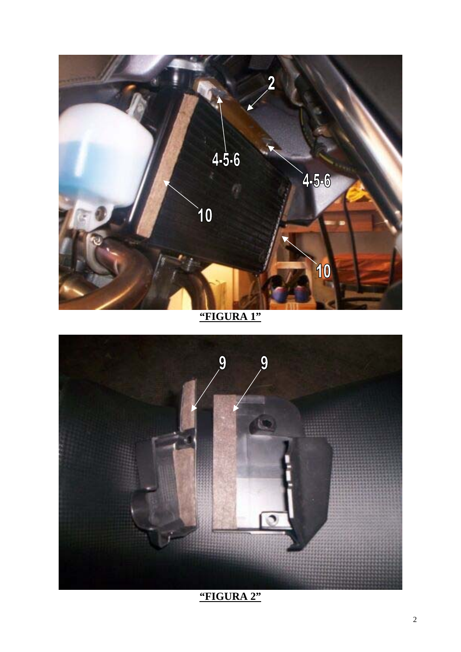

**"FIGURA 1"**

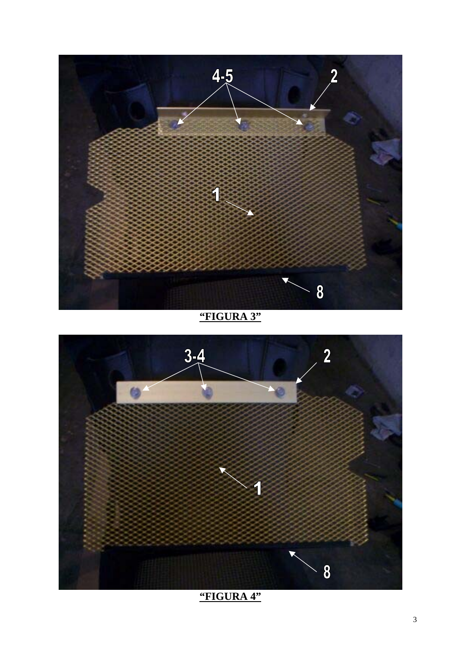

**"FIGURA 3"**

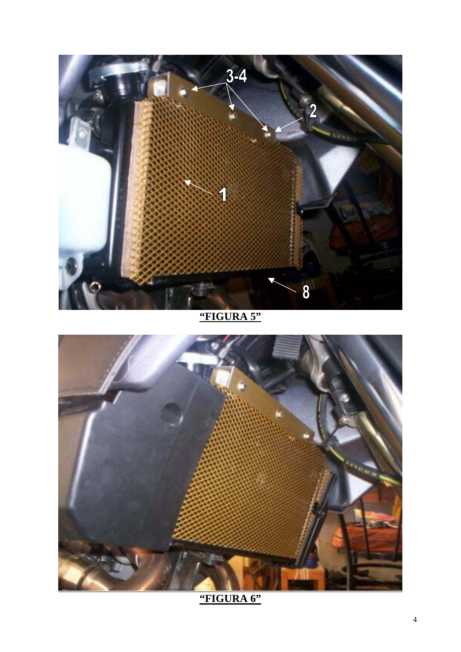

**"FIGURA 5"**



**"FIGURA 6"**